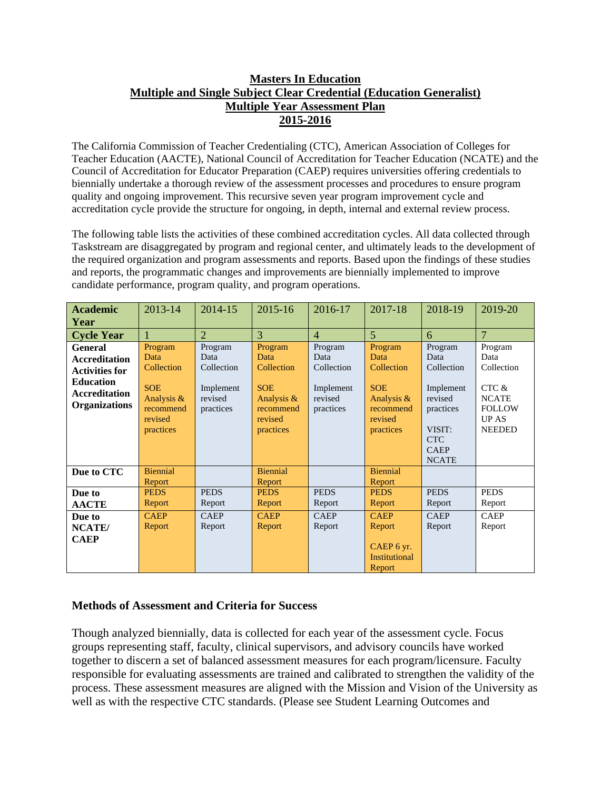## **Masters In Education Multiple and Single Subject Clear Credential (Education Generalist) Multiple Year Assessment Plan 2015-2016**

The California Commission of Teacher Credentialing (CTC), American Association of Colleges for Teacher Education (AACTE), National Council of Accreditation for Teacher Education (NCATE) and the Council of Accreditation for Educator Preparation (CAEP) requires universities offering credentials to biennially undertake a thorough review of the assessment processes and procedures to ensure program quality and ongoing improvement. This recursive seven year program improvement cycle and accreditation cycle provide the structure for ongoing, in depth, internal and external review process.

The following table lists the activities of these combined accreditation cycles. All data collected through Taskstream are disaggregated by program and regional center, and ultimately leads to the development of the required organization and program assessments and reports. Based upon the findings of these studies and reports, the programmatic changes and improvements are biennially implemented to improve candidate performance, program quality, and program operations.

| <b>Academic</b>       | 2013-14               | 2014-15              | 2015-16               | 2016-17              | 2017-18               | 2018-19              | 2019-20        |
|-----------------------|-----------------------|----------------------|-----------------------|----------------------|-----------------------|----------------------|----------------|
| Year                  |                       |                      |                       |                      |                       |                      |                |
| <b>Cycle Year</b>     |                       | $\overline{2}$       | 3                     | $\overline{4}$       | $\overline{5}$        | 6                    | $\overline{7}$ |
| <b>General</b>        | Program               | Program              | Program               | Program              | Program               | Program              | Program        |
| <b>Accreditation</b>  | Data                  | Data                 | Data                  | Data                 | Data                  | Data                 | Data           |
| <b>Activities for</b> | Collection            | Collection           | Collection            | Collection           | Collection            | Collection           | Collection     |
| <b>Education</b>      | <b>SOE</b>            |                      | <b>SOE</b>            |                      | <b>SOE</b>            |                      | CTC &          |
| <b>Accreditation</b>  | Analysis &            | Implement<br>revised | Analysis &            | Implement<br>revised | Analysis $\&$         | Implement<br>revised | <b>NCATE</b>   |
| <b>Organizations</b>  | recommend             | practices            | recommend             | practices            | recommend             | practices            | <b>FOLLOW</b>  |
|                       | revised               |                      | revised               |                      | revised               |                      | <b>UPAS</b>    |
|                       | practices             |                      | practices             |                      | practices             | VISIT:               | <b>NEEDED</b>  |
|                       |                       |                      |                       |                      |                       | <b>CTC</b>           |                |
|                       |                       |                      |                       |                      |                       | <b>CAEP</b>          |                |
|                       |                       |                      |                       |                      |                       | <b>NCATE</b>         |                |
| Due to CTC            | <b>Biennial</b>       |                      | <b>Biennial</b>       |                      | <b>Biennial</b>       |                      |                |
|                       | Report<br><b>PEDS</b> | <b>PEDS</b>          | Report<br><b>PEDS</b> | <b>PEDS</b>          | Report<br><b>PEDS</b> | <b>PEDS</b>          | <b>PEDS</b>    |
| Due to                |                       |                      |                       |                      |                       |                      |                |
| <b>AACTE</b>          | Report                | Report               | Report                | Report               | Report                | Report               | Report         |
| Due to                | <b>CAEP</b>           | <b>CAEP</b>          | <b>CAEP</b>           | <b>CAEP</b>          | <b>CAEP</b>           | <b>CAEP</b>          | <b>CAEP</b>    |
| NCATE/                | Report                | Report               | Report                | Report               | Report                | Report               | Report         |
| <b>CAEP</b>           |                       |                      |                       |                      |                       |                      |                |
|                       |                       |                      |                       |                      | CAEP 6 yr.            |                      |                |
|                       |                       |                      |                       |                      | <b>Institutional</b>  |                      |                |
|                       |                       |                      |                       |                      | Report                |                      |                |

## **Methods of Assessment and Criteria for Success**

Though analyzed biennially, data is collected for each year of the assessment cycle. Focus groups representing staff, faculty, clinical supervisors, and advisory councils have worked together to discern a set of balanced assessment measures for each program/licensure. Faculty responsible for evaluating assessments are trained and calibrated to strengthen the validity of the process. These assessment measures are aligned with the Mission and Vision of the University as well as with the respective CTC standards. (Please see Student Learning Outcomes and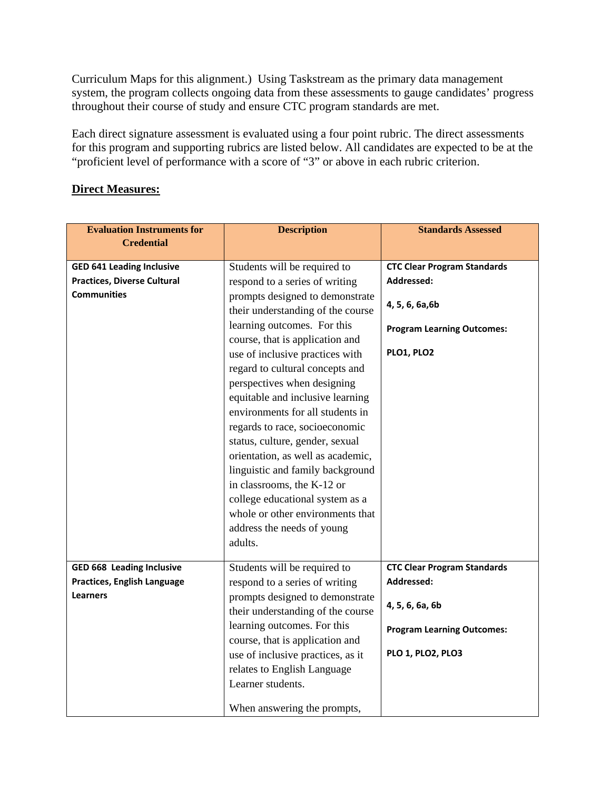Curriculum Maps for this alignment.) Using Taskstream as the primary data management system, the program collects ongoing data from these assessments to gauge candidates' progress throughout their course of study and ensure CTC program standards are met.

Each direct signature assessment is evaluated using a four point rubric. The direct assessments for this program and supporting rubrics are listed below. All candidates are expected to be at the "proficient level of performance with a score of "3" or above in each rubric criterion.

## **Direct Measures:**

| <b>Evaluation Instruments for</b>  | <b>Description</b>                | <b>Standards Assessed</b>          |  |
|------------------------------------|-----------------------------------|------------------------------------|--|
| <b>Credential</b>                  |                                   |                                    |  |
|                                    |                                   |                                    |  |
| <b>GED 641 Leading Inclusive</b>   | Students will be required to      | <b>CTC Clear Program Standards</b> |  |
| <b>Practices, Diverse Cultural</b> | respond to a series of writing    | Addressed:                         |  |
| <b>Communities</b>                 | prompts designed to demonstrate   | 4, 5, 6, 6a, 6b                    |  |
|                                    | their understanding of the course |                                    |  |
|                                    | learning outcomes. For this       | <b>Program Learning Outcomes:</b>  |  |
|                                    | course, that is application and   |                                    |  |
|                                    | use of inclusive practices with   | PLO1, PLO2                         |  |
|                                    | regard to cultural concepts and   |                                    |  |
|                                    | perspectives when designing       |                                    |  |
|                                    | equitable and inclusive learning  |                                    |  |
|                                    | environments for all students in  |                                    |  |
|                                    | regards to race, socioeconomic    |                                    |  |
|                                    | status, culture, gender, sexual   |                                    |  |
|                                    | orientation, as well as academic, |                                    |  |
|                                    | linguistic and family background  |                                    |  |
|                                    | in classrooms, the K-12 or        |                                    |  |
|                                    | college educational system as a   |                                    |  |
|                                    | whole or other environments that  |                                    |  |
|                                    | address the needs of young        |                                    |  |
|                                    | adults.                           |                                    |  |
|                                    |                                   |                                    |  |
| <b>GED 668 Leading Inclusive</b>   | Students will be required to      | <b>CTC Clear Program Standards</b> |  |
| <b>Practices, English Language</b> | respond to a series of writing    | Addressed:                         |  |
| <b>Learners</b>                    | prompts designed to demonstrate   | 4, 5, 6, 6a, 6b                    |  |
|                                    | their understanding of the course |                                    |  |
|                                    | learning outcomes. For this       | <b>Program Learning Outcomes:</b>  |  |
|                                    | course, that is application and   |                                    |  |
|                                    | use of inclusive practices, as it | <b>PLO 1, PLO2, PLO3</b>           |  |
|                                    | relates to English Language       |                                    |  |
|                                    | Learner students.                 |                                    |  |
|                                    | When answering the prompts,       |                                    |  |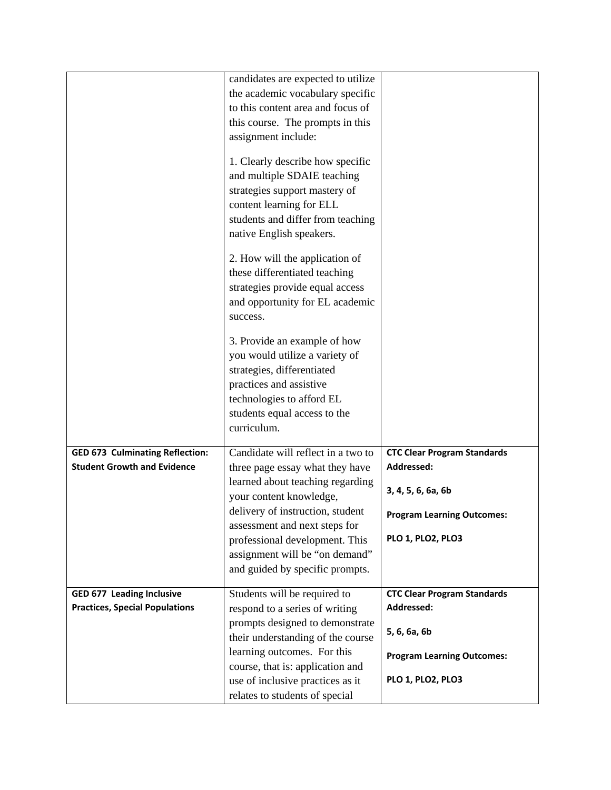|                                                                              | candidates are expected to utilize<br>the academic vocabulary specific<br>to this content area and focus of<br>this course. The prompts in this<br>assignment include:<br>1. Clearly describe how specific<br>and multiple SDAIE teaching<br>strategies support mastery of<br>content learning for ELL<br>students and differ from teaching<br>native English speakers.<br>2. How will the application of<br>these differentiated teaching<br>strategies provide equal access<br>and opportunity for EL academic<br>success.<br>3. Provide an example of how<br>you would utilize a variety of<br>strategies, differentiated<br>practices and assistive |                                                                                                                                         |
|------------------------------------------------------------------------------|---------------------------------------------------------------------------------------------------------------------------------------------------------------------------------------------------------------------------------------------------------------------------------------------------------------------------------------------------------------------------------------------------------------------------------------------------------------------------------------------------------------------------------------------------------------------------------------------------------------------------------------------------------|-----------------------------------------------------------------------------------------------------------------------------------------|
|                                                                              | technologies to afford EL<br>students equal access to the<br>curriculum.                                                                                                                                                                                                                                                                                                                                                                                                                                                                                                                                                                                |                                                                                                                                         |
| <b>GED 673 Culminating Reflection:</b><br><b>Student Growth and Evidence</b> | Candidate will reflect in a two to<br>three page essay what they have<br>learned about teaching regarding<br>your content knowledge,<br>delivery of instruction, student<br>assessment and next steps for<br>professional development. This<br>assignment will be "on demand"<br>and guided by specific prompts.                                                                                                                                                                                                                                                                                                                                        | <b>CTC Clear Program Standards</b><br>Addressed:<br>3, 4, 5, 6, 6a, 6b<br><b>Program Learning Outcomes:</b><br><b>PLO 1, PLO2, PLO3</b> |
| <b>GED 677 Leading Inclusive</b><br><b>Practices, Special Populations</b>    | Students will be required to<br>respond to a series of writing<br>prompts designed to demonstrate<br>their understanding of the course<br>learning outcomes. For this<br>course, that is: application and<br>use of inclusive practices as it<br>relates to students of special                                                                                                                                                                                                                                                                                                                                                                         | <b>CTC Clear Program Standards</b><br>Addressed:<br>5, 6, 6a, 6b<br><b>Program Learning Outcomes:</b><br><b>PLO 1, PLO2, PLO3</b>       |